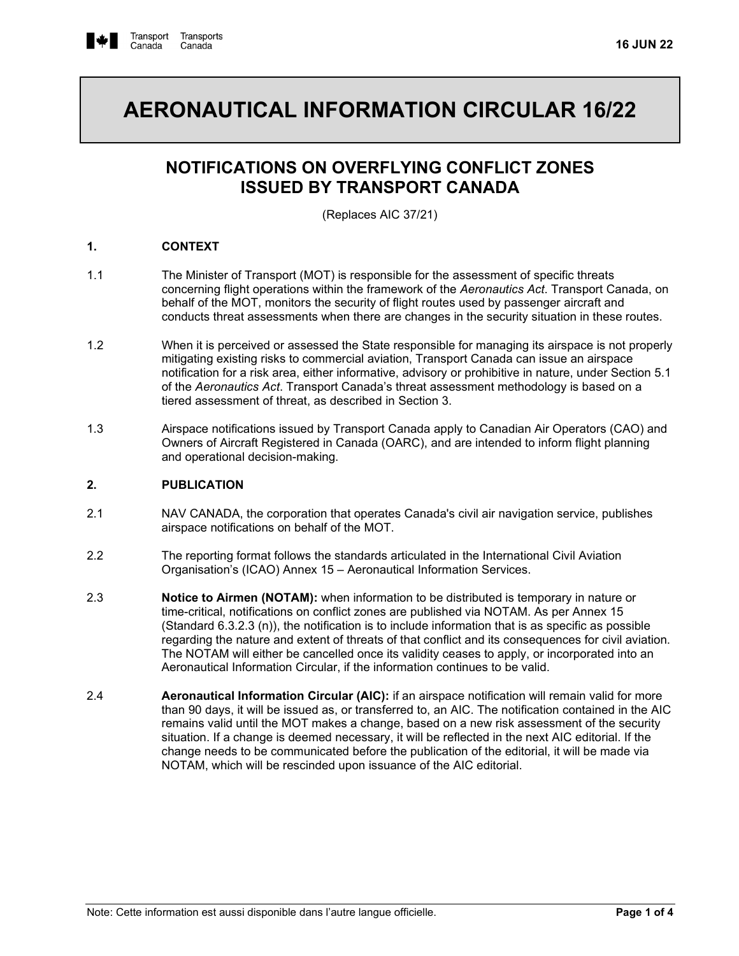

# **AERONAUTICAL INFORMATION CIRCULAR 16/22**

# **NOTIFICATIONS ON OVERFLYING CONFLICT ZONES ISSUED BY TRANSPORT CANADA**

(Replaces AIC 37/21)

# **1. CONTEXT**

- 1.1 The Minister of Transport (MOT) is responsible for the assessment of specific threats concerning flight operations within the framework of the *Aeronautics Act*. Transport Canada, on behalf of the MOT, monitors the security of flight routes used by passenger aircraft and conducts threat assessments when there are changes in the security situation in these routes.
- 1.2 When it is perceived or assessed the State responsible for managing its airspace is not properly mitigating existing risks to commercial aviation, Transport Canada can issue an airspace notification for a risk area, either informative, advisory or prohibitive in nature, under Section 5.1 of the *Aeronautics Act*. Transport Canada's threat assessment methodology is based on a tiered assessment of threat, as described in Section 3.
- 1.3 Airspace notifications issued by Transport Canada apply to Canadian Air Operators (CAO) and Owners of Aircraft Registered in Canada (OARC), and are intended to inform flight planning and operational decision-making.

# **2. PUBLICATION**

- 2.1 NAV CANADA, the corporation that operates Canada's civil air navigation service, publishes airspace notifications on behalf of the MOT.
- 2.2 The reporting format follows the standards articulated in the International Civil Aviation Organisation's (ICAO) Annex 15 – Aeronautical Information Services.
- 2.3 **Notice to Airmen (NOTAM):** when information to be distributed is temporary in nature or time-critical, notifications on conflict zones are published via NOTAM. As per Annex 15 (Standard 6.3.2.3 (n)), the notification is to include information that is as specific as possible regarding the nature and extent of threats of that conflict and its consequences for civil aviation. The NOTAM will either be cancelled once its validity ceases to apply, or incorporated into an Aeronautical Information Circular, if the information continues to be valid.
- 2.4 **Aeronautical Information Circular (AIC):** if an airspace notification will remain valid for more than 90 days, it will be issued as, or transferred to, an AIC. The notification contained in the AIC remains valid until the MOT makes a change, based on a new risk assessment of the security situation. If a change is deemed necessary, it will be reflected in the next AIC editorial. If the change needs to be communicated before the publication of the editorial, it will be made via NOTAM, which will be rescinded upon issuance of the AIC editorial.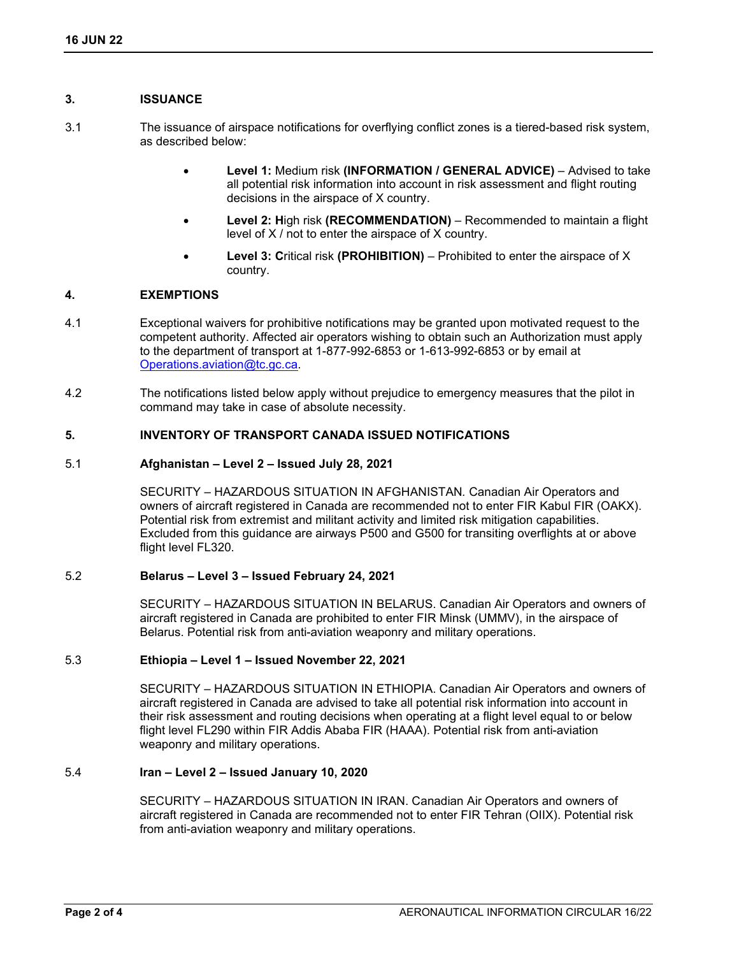# **3. ISSUANCE**

- 3.1 The issuance of airspace notifications for overflying conflict zones is a tiered-based risk system, as described below:
	- **Level 1:** Medium risk **(INFORMATION / GENERAL ADVICE)** Advised to take all potential risk information into account in risk assessment and flight routing decisions in the airspace of X country.
	- **Level 2: H**igh risk **(RECOMMENDATION)** Recommended to maintain a flight level of X / not to enter the airspace of X country.
	- **Level 3: C**ritical risk **(PROHIBITION)** Prohibited to enter the airspace of X country.

# **4. EXEMPTIONS**

- 4.1 Exceptional waivers for prohibitive notifications may be granted upon motivated request to the competent authority. Affected air operators wishing to obtain such an Authorization must apply to the department of transport at 1-877-992-6853 or 1-613-992-6853 or by email at [Operations.aviation@tc.gc.ca.](mailto:Operations.aviation@tc.gc.ca)
- 4.2 The notifications listed below apply without prejudice to emergency measures that the pilot in command may take in case of absolute necessity.

# **5. INVENTORY OF TRANSPORT CANADA ISSUED NOTIFICATIONS**

# 5.1 **Afghanistan – Level 2 – Issued July 28, 2021**

SECURITY – HAZARDOUS SITUATION IN AFGHANISTAN*.* Canadian Air Operators and owners of aircraft registered in Canada are recommended not to enter FIR Kabul FIR (OAKX). Potential risk from extremist and militant activity and limited risk mitigation capabilities. Excluded from this guidance are airways P500 and G500 for transiting overflights at or above flight level FL320.

# 5.2 **Belarus – Level 3 – Issued February 24, 2021**

SECURITY – HAZARDOUS SITUATION IN BELARUS. Canadian Air Operators and owners of aircraft registered in Canada are prohibited to enter FIR Minsk (UMMV), in the airspace of Belarus. Potential risk from anti-aviation weaponry and military operations.

# 5.3 **Ethiopia – Level 1 – Issued November 22, 2021**

SECURITY – HAZARDOUS SITUATION IN ETHIOPIA. Canadian Air Operators and owners of aircraft registered in Canada are advised to take all potential risk information into account in their risk assessment and routing decisions when operating at a flight level equal to or below flight level FL290 within FIR Addis Ababa FIR (HAAA). Potential risk from anti-aviation weaponry and military operations.

# 5.4 **Iran – Level 2 – Issued January 10, 2020**

SECURITY – HAZARDOUS SITUATION IN IRAN. Canadian Air Operators and owners of aircraft registered in Canada are recommended not to enter FIR Tehran (OIIX). Potential risk from anti-aviation weaponry and military operations.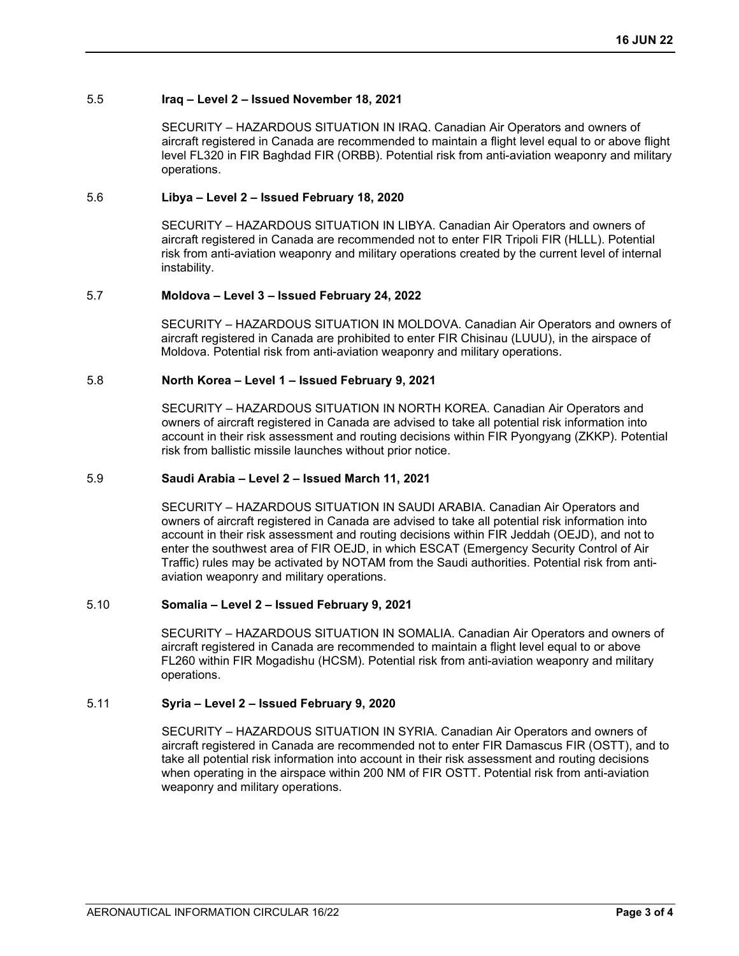# 5.5 **Iraq – Level 2 – Issued November 18, 2021**

SECURITY – HAZARDOUS SITUATION IN IRAQ. Canadian Air Operators and owners of aircraft registered in Canada are recommended to maintain a flight level equal to or above flight level FL320 in FIR Baghdad FIR (ORBB). Potential risk from anti-aviation weaponry and military operations.

# 5.6 **Libya – Level 2 – Issued February 18, 2020**

SECURITY – HAZARDOUS SITUATION IN LIBYA. Canadian Air Operators and owners of aircraft registered in Canada are recommended not to enter FIR Tripoli FIR (HLLL). Potential risk from anti-aviation weaponry and military operations created by the current level of internal instability.

# 5.7 **Moldova – Level 3 – Issued February 24, 2022**

SECURITY – HAZARDOUS SITUATION IN MOLDOVA. Canadian Air Operators and owners of aircraft registered in Canada are prohibited to enter FIR Chisinau (LUUU), in the airspace of Moldova. Potential risk from anti-aviation weaponry and military operations.

# 5.8 **North Korea – Level 1 – Issued February 9, 2021**

SECURITY – HAZARDOUS SITUATION IN NORTH KOREA. Canadian Air Operators and owners of aircraft registered in Canada are advised to take all potential risk information into account in their risk assessment and routing decisions within FIR Pyongyang (ZKKP). Potential risk from ballistic missile launches without prior notice.

# 5.9 **Saudi Arabia – Level 2 – Issued March 11, 2021**

SECURITY – HAZARDOUS SITUATION IN SAUDI ARABIA. Canadian Air Operators and owners of aircraft registered in Canada are advised to take all potential risk information into account in their risk assessment and routing decisions within FIR Jeddah (OEJD), and not to enter the southwest area of FIR OEJD, in which ESCAT (Emergency Security Control of Air Traffic) rules may be activated by NOTAM from the Saudi authorities. Potential risk from antiaviation weaponry and military operations.

# 5.10 **Somalia – Level 2 – Issued February 9, 2021**

SECURITY – HAZARDOUS SITUATION IN SOMALIA. Canadian Air Operators and owners of aircraft registered in Canada are recommended to maintain a flight level equal to or above FL260 within FIR Mogadishu (HCSM). Potential risk from anti-aviation weaponry and military operations.

# 5.11 **Syria – Level 2 – Issued February 9, 2020**

SECURITY – HAZARDOUS SITUATION IN SYRIA. Canadian Air Operators and owners of aircraft registered in Canada are recommended not to enter FIR Damascus FIR (OSTT), and to take all potential risk information into account in their risk assessment and routing decisions when operating in the airspace within 200 NM of FIR OSTT. Potential risk from anti-aviation weaponry and military operations.